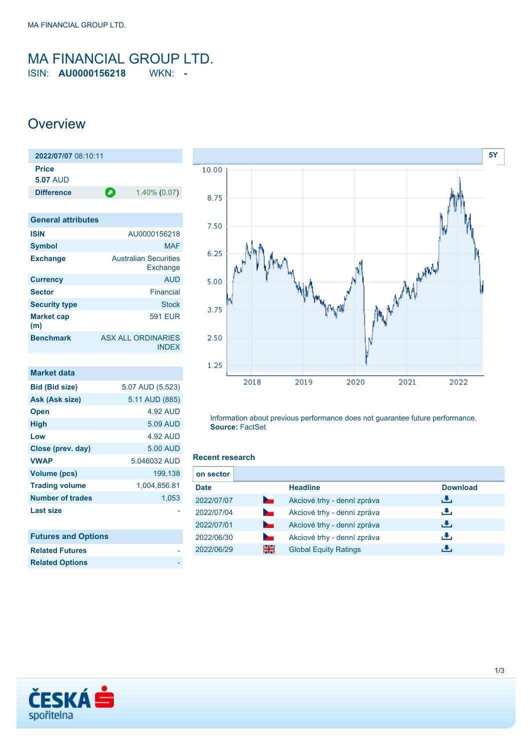### <span id="page-0-0"></span>MA FINANCIAL GROUP LTD. ISIN: **AU0000156218** WKN: **-**

### **Overview**

| 2022/07/07 08:10:11       |                                           |
|---------------------------|-------------------------------------------|
| Price<br><b>5.07 AUD</b>  |                                           |
| <b>Difference</b>         | О<br>$1.40\%$ (0.07)                      |
|                           |                                           |
| <b>General attributes</b> |                                           |
| <b>ISIN</b>               | AU0000156218                              |
| Symbol                    | MAF                                       |
| <b>Exchange</b>           | <b>Australian Securities</b><br>Exchange  |
| <b>Currency</b>           | <b>AUD</b>                                |
| <b>Sector</b>             | Financial                                 |
| <b>Security type</b>      | <b>Stock</b>                              |
| <b>Market cap</b><br>(m)  | 591 FUR                                   |
| <b>Benchmark</b>          | <b>ASX ALL ORDINARIES</b><br><b>INDFX</b> |

| <b>Market data</b>         |                  |
|----------------------------|------------------|
| <b>Bid (Bid size)</b>      | 5.07 AUD (5,523) |
| Ask (Ask size)             | 5.11 AUD (885)   |
| <b>Open</b>                | 4.92 AUD         |
| <b>High</b>                | 5.09 AUD         |
| Low                        | 4.92 AUD         |
| Close (prev. day)          | 5.00 AUD         |
| <b>VWAP</b>                | 5.046032 AUD     |
| Volume (pcs)               | 199.138          |
| <b>Trading volume</b>      | 1,004,856.81     |
| <b>Number of trades</b>    | 1,053            |
| Last size                  |                  |
|                            |                  |
| <b>Futures and Options</b> |                  |



Information about previous performance does not guarantee future performance. **Source:** FactSet

#### **Recent research**

| on sector   |                |                              |                 |
|-------------|----------------|------------------------------|-----------------|
| <b>Date</b> |                | <b>Headline</b>              | <b>Download</b> |
| 2022/07/07  | <b>Service</b> | Akciové trhy - denní zpráva  | ريان            |
| 2022/07/04  | $\sim$         | Akciové trhy - denní zpráva  | رالى            |
| 2022/07/01  | <b>Service</b> | Akciové trhy - denní zpráva  | رالى            |
| 2022/06/30  |                | Akciové trhy - denní zpráva  | رالى            |
| 2022/06/29  | 을중             | <b>Global Equity Ratings</b> |                 |



**Related Futures Related Options**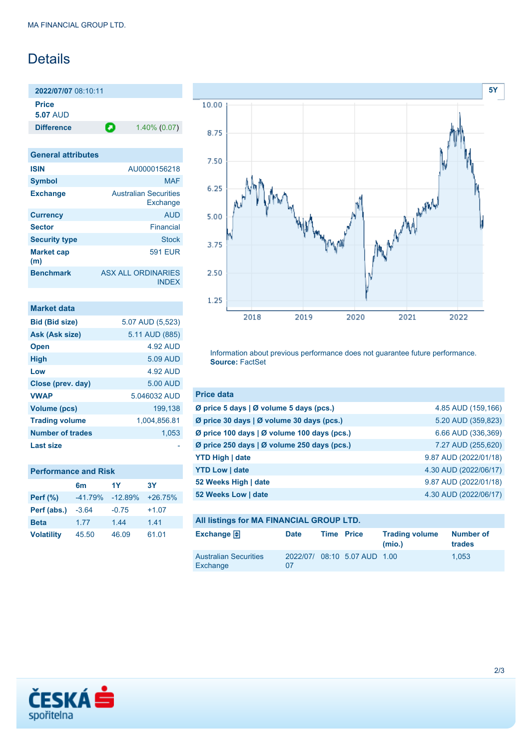# Details

**2022/07/07** 08:10:11 **Price 5.07** AUD **Difference 1.40% (0.07)** 

| <b>General attributes</b> |                                          |
|---------------------------|------------------------------------------|
| <b>ISIN</b>               | AU0000156218                             |
| <b>Symbol</b>             | <b>MAF</b>                               |
| <b>Exchange</b>           | <b>Australian Securities</b><br>Exchange |
| <b>Currency</b>           | <b>AUD</b>                               |
| <b>Sector</b>             | Financial                                |
| <b>Security type</b>      | <b>Stock</b>                             |
| <b>Market cap</b><br>(m)  | 591 FUR                                  |
| <b>Benchmark</b>          | ASX ALL ORDINARIES<br><b>INDEX</b>       |

| Market data             |                  |
|-------------------------|------------------|
| <b>Bid (Bid size)</b>   | 5.07 AUD (5,523) |
| Ask (Ask size)          | 5.11 AUD (885)   |
| <b>Open</b>             | 4.92 AUD         |
| <b>High</b>             | 5.09 AUD         |
| Low                     | 4.92 AUD         |
| Close (prev. day)       | 5.00 AUD         |
| <b>VWAP</b>             | 5.046032 AUD     |
| Volume (pcs)            | 199.138          |
| <b>Trading volume</b>   | 1,004,856.81     |
| <b>Number of trades</b> | 1,053            |
| <b>Last size</b>        |                  |

| <b>Performance and Risk</b> |  |  |
|-----------------------------|--|--|
|                             |  |  |

|                   | 6 <sub>m</sub> | 1Y        | <b>3Y</b> |
|-------------------|----------------|-----------|-----------|
| <b>Perf</b> (%)   | $-41.79%$      | $-12.89%$ | $+26.75%$ |
| Perf (abs.)       | $-3.64$        | $-0.75$   | $+1.07$   |
| <b>Beta</b>       | 1.77           | 1.44      | 1.41      |
| <b>Volatility</b> | 45.50          | 46.09     | 61.01     |



Information about previous performance does not guarantee future performance. **Source:** FactSet

| <b>Price data</b>                           |                       |
|---------------------------------------------|-----------------------|
| Ø price 5 days   Ø volume 5 days (pcs.)     | 4.85 AUD (159,166)    |
| Ø price 30 days   Ø volume 30 days (pcs.)   | 5.20 AUD (359,823)    |
| Ø price 100 days   Ø volume 100 days (pcs.) | 6.66 AUD (336,369)    |
| Ø price 250 days   Ø volume 250 days (pcs.) | 7.27 AUD (255,620)    |
| <b>YTD High   date</b>                      | 9.87 AUD (2022/01/18) |
| <b>YTD Low   date</b>                       | 4.30 AUD (2022/06/17) |
| 52 Weeks High   date                        | 9.87 AUD (2022/01/18) |
| 52 Weeks Low   date                         | 4.30 AUD (2022/06/17) |

| All listings for MA FINANCIAL GROUP LTD. |             |                   |                              |                                 |                     |
|------------------------------------------|-------------|-------------------|------------------------------|---------------------------------|---------------------|
| Exchange $\bigoplus$                     | <b>Date</b> | <b>Time Price</b> |                              | <b>Trading volume</b><br>(mio.) | Number of<br>trades |
| <b>Australian Securities</b><br>Exchange | 07          |                   | 2022/07/ 08:10 5.07 AUD 1.00 |                                 | 1.053               |